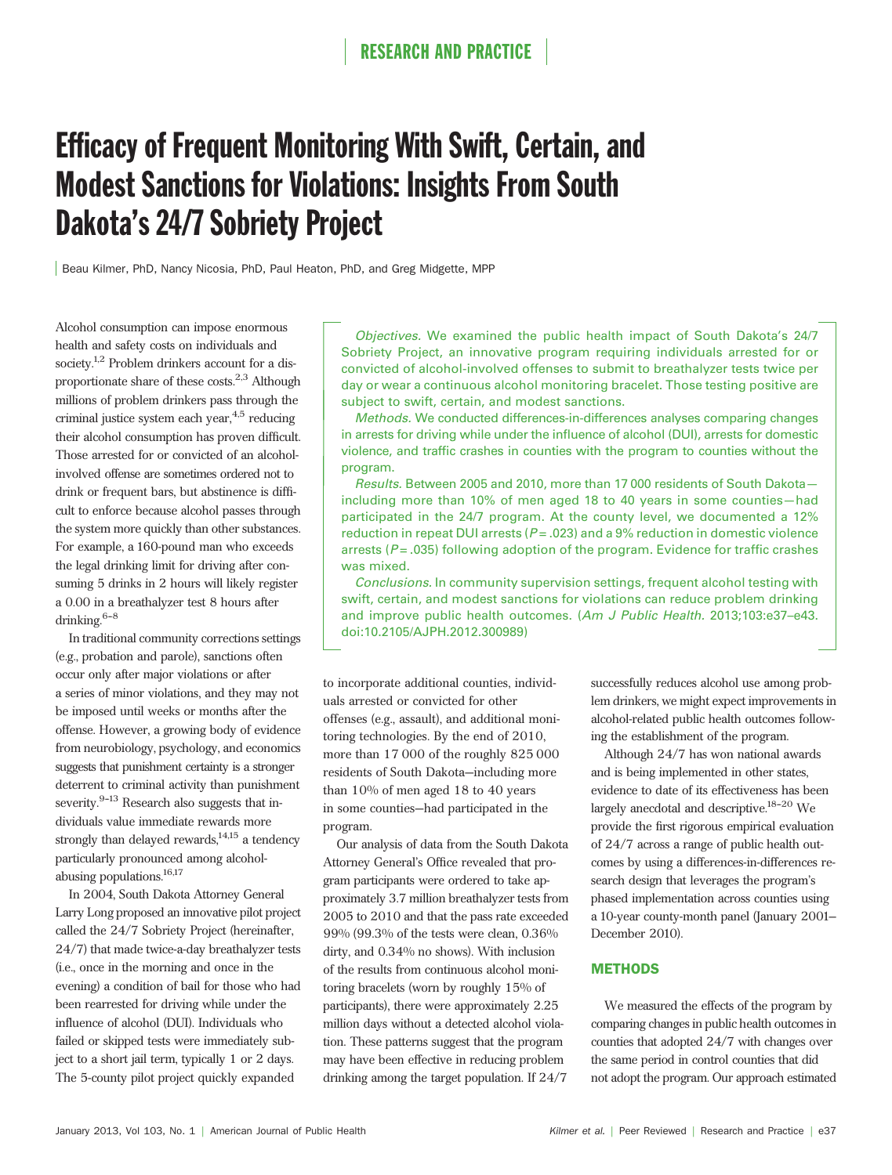# Efficacy of Frequent Monitoring With Swift, Certain, and Modest Sanctions for Violations: Insights From South Dakota's 24/7 Sobriety Project

Beau Kilmer, PhD, Nancy Nicosia, PhD, Paul Heaton, PhD, and Greg Midgette, MPP

Alcohol consumption can impose enormous health and safety costs on individuals and society.<sup>1,2</sup> Problem drinkers account for a disproportionate share of these costs. $2,3$  Although millions of problem drinkers pass through the criminal justice system each year, $4.5$  reducing their alcohol consumption has proven difficult. Those arrested for or convicted of an alcoholinvolved offense are sometimes ordered not to drink or frequent bars, but abstinence is difficult to enforce because alcohol passes through the system more quickly than other substances. For example, a 160-pound man who exceeds the legal drinking limit for driving after consuming 5 drinks in 2 hours will likely register a 0.00 in a breathalyzer test 8 hours after drinking. $6-8$ 

In traditional community corrections settings (e.g., probation and parole), sanctions often occur only after major violations or after a series of minor violations, and they may not be imposed until weeks or months after the offense. However, a growing body of evidence from neurobiology, psychology, and economics suggests that punishment certainty is a stronger deterrent to criminal activity than punishment severity. $9-13$  Research also suggests that individuals value immediate rewards more strongly than delayed rewards, $14,15$  a tendency particularly pronounced among alcoholabusing populations.<sup>16,17</sup>

In 2004, South Dakota Attorney General Larry Long proposed an innovative pilot project called the 24/7 Sobriety Project (hereinafter, 24/7) that made twice-a-day breathalyzer tests (i.e., once in the morning and once in the evening) a condition of bail for those who had been rearrested for driving while under the influence of alcohol (DUI). Individuals who failed or skipped tests were immediately subject to a short jail term, typically 1 or 2 days. The 5-county pilot project quickly expanded

Objectives. We examined the public health impact of South Dakota's 24/7 Sobriety Project, an innovative program requiring individuals arrested for or convicted of alcohol-involved offenses to submit to breathalyzer tests twice per day or wear a continuous alcohol monitoring bracelet. Those testing positive are subject to swift, certain, and modest sanctions.

Methods. We conducted differences-in-differences analyses comparing changes in arrests for driving while under the influence of alcohol (DUI), arrests for domestic violence, and traffic crashes in counties with the program to counties without the program.

Results. Between 2005 and 2010, more than 17 000 residents of South Dakota including more than 10% of men aged 18 to 40 years in some counties—had participated in the 24/7 program. At the county level, we documented a 12% reduction in repeat DUI arrests ( $P = .023$ ) and a 9% reduction in domestic violence arrests ( $P = .035$ ) following adoption of the program. Evidence for traffic crashes was mixed.

Conclusions. In community supervision settings, frequent alcohol testing with swift, certain, and modest sanctions for violations can reduce problem drinking and improve public health outcomes. (Am J Public Health. 2013;103:e37–e43. doi:10.2105/AJPH.2012.300989)

to incorporate additional counties, individuals arrested or convicted for other offenses (e.g., assault), and additional monitoring technologies. By the end of 2010, more than 17 000 of the roughly 825 000 residents of South Dakota—including more than 10% of men aged 18 to 40 years in some counties—had participated in the program.

Our analysis of data from the South Dakota Attorney General's Office revealed that program participants were ordered to take approximately 3.7 million breathalyzer tests from 2005 to 2010 and that the pass rate exceeded 99% (99.3% of the tests were clean, 0.36% dirty, and 0.34% no shows). With inclusion of the results from continuous alcohol monitoring bracelets (worn by roughly 15% of participants), there were approximately 2.25 million days without a detected alcohol violation. These patterns suggest that the program may have been effective in reducing problem drinking among the target population. If 24/7

successfully reduces alcohol use among problem drinkers, we might expect improvements in alcohol-related public health outcomes following the establishment of the program.

Although 24/7 has won national awards and is being implemented in other states, evidence to date of its effectiveness has been largely anecdotal and descriptive. $18-20$  We provide the first rigorous empirical evaluation of 24/7 across a range of public health outcomes by using a differences-in-differences research design that leverages the program's phased implementation across counties using a 10-year county-month panel (January 2001– December 2010).

#### **METHODS**

We measured the effects of the program by comparing changes in public health outcomes in counties that adopted 24/7 with changes over the same period in control counties that did not adopt the program. Our approach estimated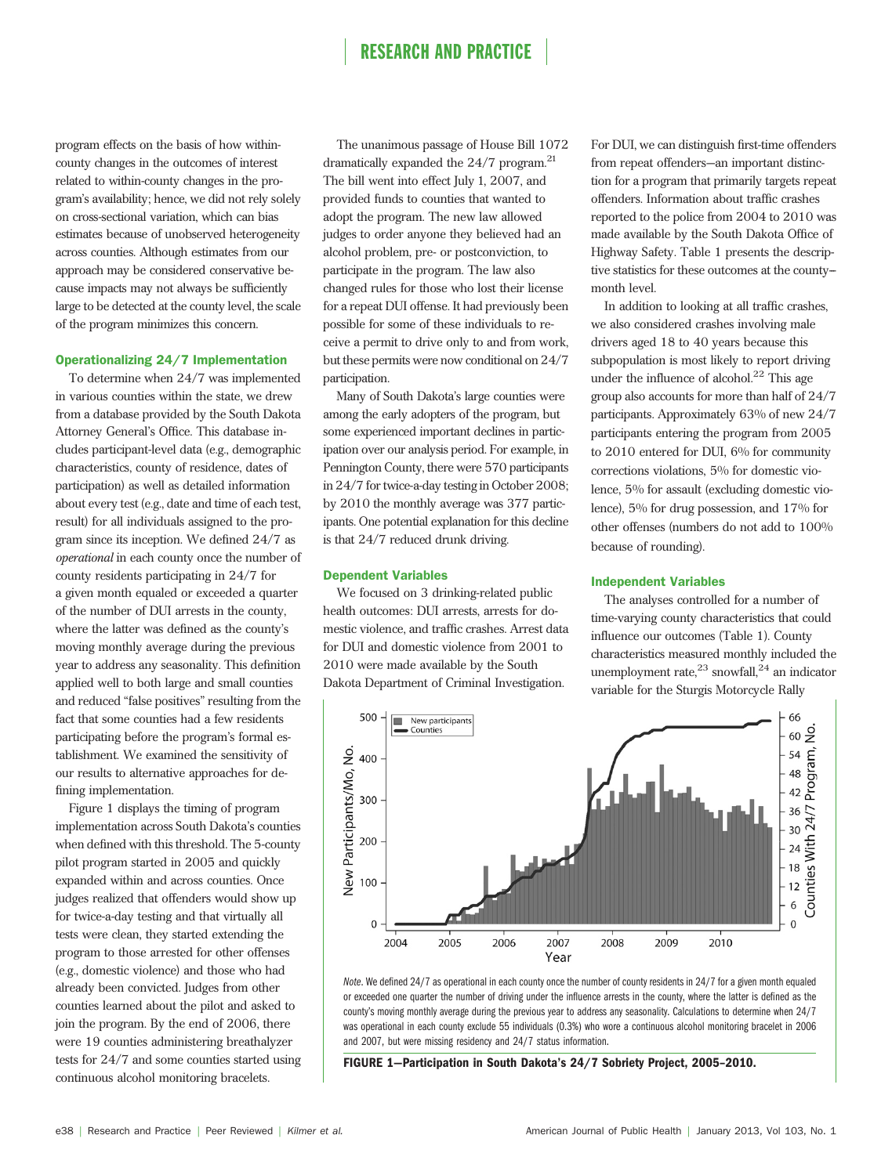program effects on the basis of how withincounty changes in the outcomes of interest related to within-county changes in the program's availability; hence, we did not rely solely on cross-sectional variation, which can bias estimates because of unobserved heterogeneity across counties. Although estimates from our approach may be considered conservative because impacts may not always be sufficiently large to be detected at the county level, the scale of the program minimizes this concern.

#### Operationalizing 24/7 Implementation

To determine when 24/7 was implemented in various counties within the state, we drew from a database provided by the South Dakota Attorney General's Office. This database includes participant-level data (e.g., demographic characteristics, county of residence, dates of participation) as well as detailed information about every test (e.g., date and time of each test, result) for all individuals assigned to the program since its inception. We defined 24/7 as operational in each county once the number of county residents participating in 24/7 for a given month equaled or exceeded a quarter of the number of DUI arrests in the county, where the latter was defined as the county's moving monthly average during the previous year to address any seasonality. This definition applied well to both large and small counties and reduced "false positives" resulting from the fact that some counties had a few residents participating before the program's formal establishment. We examined the sensitivity of our results to alternative approaches for defining implementation.

Figure 1 displays the timing of program implementation across South Dakota's counties when defined with this threshold. The 5-county pilot program started in 2005 and quickly expanded within and across counties. Once judges realized that offenders would show up for twice-a-day testing and that virtually all tests were clean, they started extending the program to those arrested for other offenses (e.g., domestic violence) and those who had already been convicted. Judges from other counties learned about the pilot and asked to join the program. By the end of 2006, there were 19 counties administering breathalyzer tests for 24/7 and some counties started using continuous alcohol monitoring bracelets.

The unanimous passage of House Bill 1072 dramatically expanded the  $24/7$  program.<sup>21</sup> The bill went into effect July 1, 2007, and provided funds to counties that wanted to adopt the program. The new law allowed judges to order anyone they believed had an alcohol problem, pre- or postconviction, to participate in the program. The law also changed rules for those who lost their license for a repeat DUI offense. It had previously been possible for some of these individuals to receive a permit to drive only to and from work, but these permits were now conditional on 24/7 participation.

Many of South Dakota's large counties were among the early adopters of the program, but some experienced important declines in participation over our analysis period. For example, in Pennington County, there were 570 participants in 24/7 for twice-a-day testing in October 2008; by 2010 the monthly average was 377 participants. One potential explanation for this decline is that 24/7 reduced drunk driving.

#### Dependent Variables

We focused on 3 drinking-related public health outcomes: DUI arrests, arrests for domestic violence, and traffic crashes. Arrest data for DUI and domestic violence from 2001 to 2010 were made available by the South Dakota Department of Criminal Investigation.

For DUI, we can distinguish first-time offenders from repeat offenders—an important distinction for a program that primarily targets repeat offenders. Information about traffic crashes reported to the police from 2004 to 2010 was made available by the South Dakota Office of Highway Safety. Table 1 presents the descriptive statistics for these outcomes at the countymonth level.

In addition to looking at all traffic crashes, we also considered crashes involving male drivers aged 18 to 40 years because this subpopulation is most likely to report driving under the influence of alcohol. $^{22}$  This age group also accounts for more than half of 24/7 participants. Approximately 63% of new 24/7 participants entering the program from 2005 to 2010 entered for DUI, 6% for community corrections violations, 5% for domestic violence, 5% for assault (excluding domestic violence), 5% for drug possession, and 17% for other offenses (numbers do not add to 100% because of rounding).

#### Independent Variables

The analyses controlled for a number of time-varying county characteristics that could influence our outcomes (Table 1). County characteristics measured monthly included the unemployment rate, $^{23}$  snowfall, $^{24}$  an indicator variable for the Sturgis Motorcycle Rally



Note. We defined 24/7 as operational in each county once the number of county residents in 24/7 for a given month equaled or exceeded one quarter the number of driving under the influence arrests in the county, where the latter is defined as the county's moving monthly average during the previous year to address any seasonality. Calculations to determine when 24/7 was operational in each county exclude 55 individuals (0.3%) who wore a continuous alcohol monitoring bracelet in 2006 and 2007, but were missing residency and 24/7 status information.

FIGURE 1—Participation in South Dakota's 24/7 Sobriety Project, 2005–2010.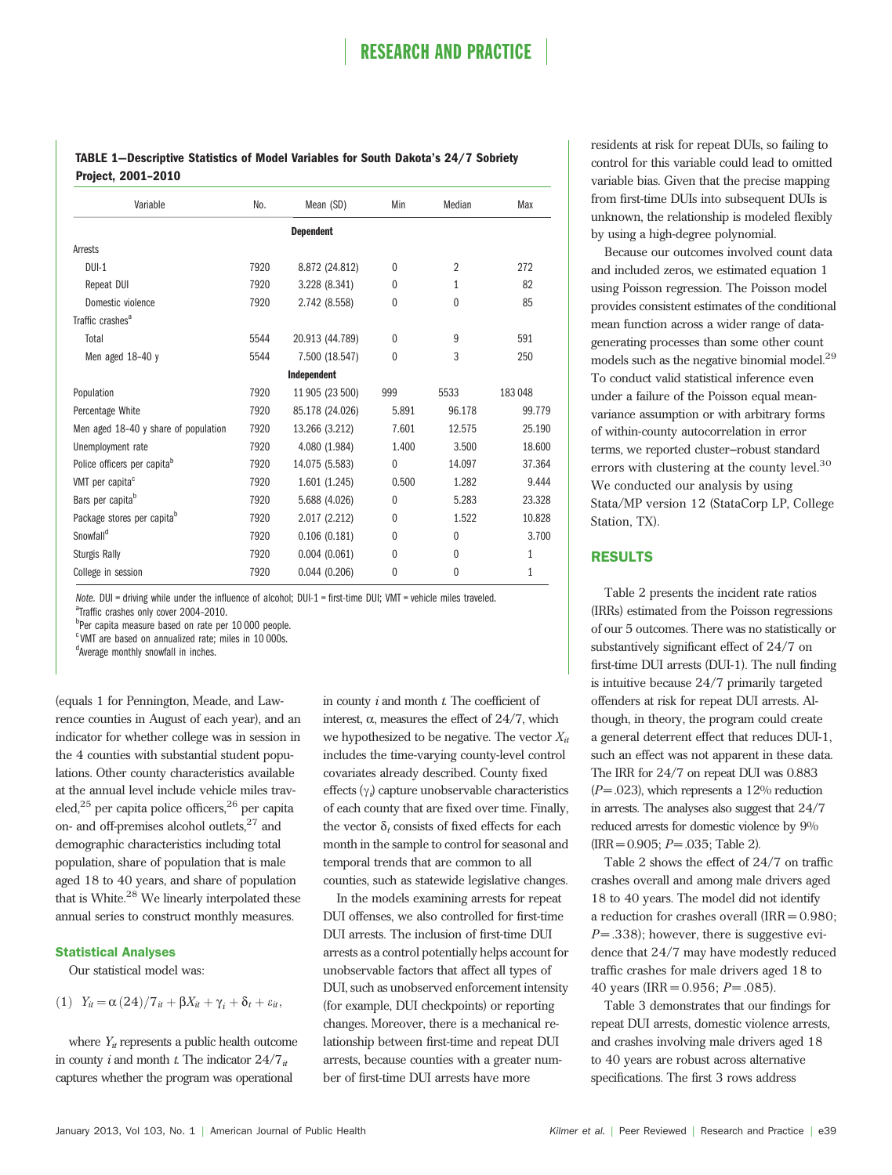TABLE 1—Descriptive Statistics of Model Variables for South Dakota's 24/7 Sobriety Project, 2001–2010

| Variable                                | No.  | Mean (SD)       | Min          | Median         | Max          |  |  |  |  |
|-----------------------------------------|------|-----------------|--------------|----------------|--------------|--|--|--|--|
| <b>Dependent</b>                        |      |                 |              |                |              |  |  |  |  |
| Arrests                                 |      |                 |              |                |              |  |  |  |  |
| $DUI-1$                                 | 7920 | 8.872 (24.812)  | $\theta$     | $\overline{2}$ | 272          |  |  |  |  |
| Repeat DUI                              | 7920 | 3.228 (8.341)   | $\theta$     | 1              | 82           |  |  |  |  |
| Domestic violence                       | 7920 | 2.742 (8.558)   | $\mathbf{0}$ | $\mathbf{0}$   | 85           |  |  |  |  |
| Traffic crashes <sup>a</sup>            |      |                 |              |                |              |  |  |  |  |
| Total                                   | 5544 | 20.913 (44.789) | $\theta$     | 9              | 591          |  |  |  |  |
| Men aged 18-40 y                        | 5544 | 7.500 (18.547)  | $\mathbf{0}$ | 3              | 250          |  |  |  |  |
|                                         |      | Independent     |              |                |              |  |  |  |  |
| Population                              | 7920 | 11 905 (23 500) | 999          | 5533           | 183048       |  |  |  |  |
| Percentage White                        | 7920 | 85.178 (24.026) | 5.891        | 96.178         | 99.779       |  |  |  |  |
| Men aged 18-40 y share of population    | 7920 | 13.266 (3.212)  | 7.601        | 12.575         | 25.190       |  |  |  |  |
| Unemployment rate                       | 7920 | 4.080 (1.984)   | 1.400        | 3.500          | 18.600       |  |  |  |  |
| Police officers per capita <sup>b</sup> | 7920 | 14.075 (5.583)  | $\mathbf{0}$ | 14.097         | 37.364       |  |  |  |  |
| VMT per capita <sup>c</sup>             | 7920 | 1.601(1.245)    | 0.500        | 1.282          | 9.444        |  |  |  |  |
| Bars per capita <sup>b</sup>            | 7920 | 5.688 (4.026)   | $\theta$     | 5.283          | 23.328       |  |  |  |  |
| Package stores per capita <sup>b</sup>  | 7920 | 2.017(2.212)    | $\theta$     | 1.522          | 10.828       |  |  |  |  |
| Snowfall <sup>d</sup>                   | 7920 | 0.106(0.181)    | 0            | $\theta$       | 3.700        |  |  |  |  |
| <b>Sturgis Rally</b>                    | 7920 | 0.004(0.061)    | $\theta$     | $\mathbf{0}$   | $\mathbf{1}$ |  |  |  |  |
| College in session                      | 7920 | 0.044(0.206)    | $\mathbf{0}$ | $\mathbf{0}$   | 1            |  |  |  |  |

Note. DUI = driving while under the influence of alcohol; DUI-1 = first-time DUI; VMT = vehicle miles traveled. <sup>a</sup>Traffic crashes only cover 2004-2010.

b<sub>per capita measure based on rate per 10 000 people.</sub>

<sup>c</sup> VMT are based on annualized rate; miles in 10 000s.

d<br>Average monthly snowfall in inches.

(equals 1 for Pennington, Meade, and Lawrence counties in August of each year), and an indicator for whether college was in session in the 4 counties with substantial student populations. Other county characteristics available at the annual level include vehicle miles traveled, $25$  per capita police officers, $26$  per capita on- and off-premises alcohol outlets, $27$  and demographic characteristics including total population, share of population that is male aged 18 to 40 years, and share of population that is White.<sup>28</sup> We linearly interpolated these annual series to construct monthly measures.

#### Statistical Analyses

Our statistical model was:

(1)  $Y_{it} = \alpha (24)/7_{it} + \beta X_{it} + \gamma_i + \delta_t + \varepsilon_{it}$ 

where  $Y_{it}$  represents a public health outcome in county *i* and month *t*. The indicator  $24/7<sub>it</sub>$ captures whether the program was operational

in county  $i$  and month  $t$ . The coefficient of interest,  $\alpha$ , measures the effect of 24/7, which we hypothesized to be negative. The vector  $X_{it}$ includes the time-varying county-level control covariates already described. County fixed effects  $(\gamma_i)$  capture unobservable characteristics of each county that are fixed over time. Finally, the vector  $\delta_t$  consists of fixed effects for each month in the sample to control for seasonal and temporal trends that are common to all counties, such as statewide legislative changes.

In the models examining arrests for repeat DUI offenses, we also controlled for first-time DUI arrests. The inclusion of first-time DUI arrests as a control potentially helps account for unobservable factors that affect all types of DUI, such as unobserved enforcement intensity (for example, DUI checkpoints) or reporting changes. Moreover, there is a mechanical relationship between first-time and repeat DUI arrests, because counties with a greater number of first-time DUI arrests have more

residents at risk for repeat DUIs, so failing to control for this variable could lead to omitted variable bias. Given that the precise mapping from first-time DUIs into subsequent DUIs is unknown, the relationship is modeled flexibly by using a high-degree polynomial.

Because our outcomes involved count data and included zeros, we estimated equation 1 using Poisson regression. The Poisson model provides consistent estimates of the conditional mean function across a wider range of datagenerating processes than some other count models such as the negative binomial model.<sup>29</sup> To conduct valid statistical inference even under a failure of the Poisson equal meanvariance assumption or with arbitrary forms of within-county autocorrelation in error terms, we reported cluster--robust standard errors with clustering at the county level.<sup>30</sup> We conducted our analysis by using Stata/MP version 12 (StataCorp LP, College Station, TX).

#### RESULTS

Table 2 presents the incident rate ratios (IRRs) estimated from the Poisson regressions of our 5 outcomes. There was no statistically or substantively significant effect of 24/7 on first-time DUI arrests (DUI-1). The null finding is intuitive because 24/7 primarily targeted offenders at risk for repeat DUI arrests. Although, in theory, the program could create a general deterrent effect that reduces DUI-1, such an effect was not apparent in these data. The IRR for 24/7 on repeat DUI was 0.883  $(P = .023)$ , which represents a 12% reduction in arrests. The analyses also suggest that 24/7 reduced arrests for domestic violence by 9%  $(IRR = 0.905; P = .035; Table 2).$ 

Table 2 shows the effect of 24/7 on traffic crashes overall and among male drivers aged 18 to 40 years. The model did not identify a reduction for crashes overall  $(IRR = 0.980;$  $P = 0.338$ ; however, there is suggestive evidence that 24/7 may have modestly reduced traffic crashes for male drivers aged 18 to 40 years (IRR =  $0.956$ ;  $P = .085$ ).

Table 3 demonstrates that our findings for repeat DUI arrests, domestic violence arrests, and crashes involving male drivers aged 18 to 40 years are robust across alternative specifications. The first 3 rows address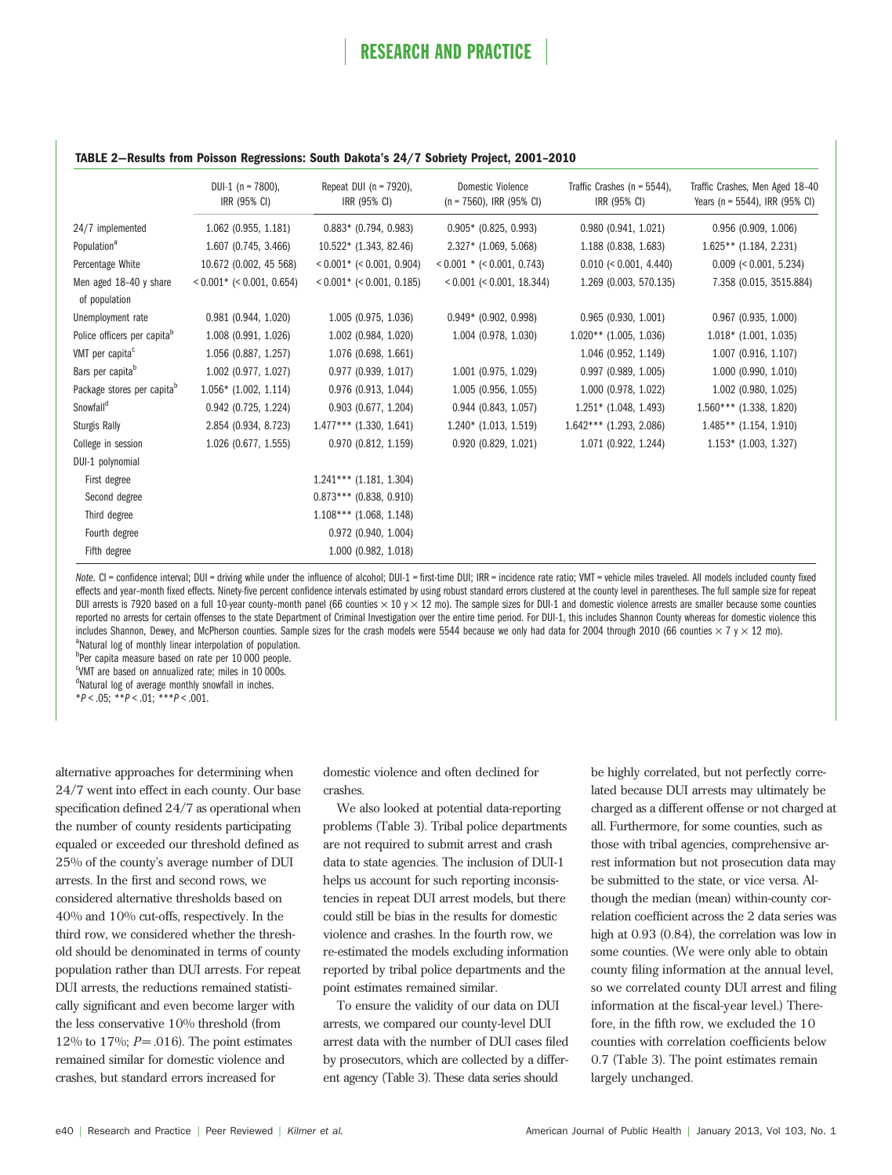#### TABLE 2—Results from Poisson Regressions: South Dakota's 24/7 Sobriety Project, 2001–2010

|                                         | DUI-1 ( $n = 7800$ ),<br>IRR (95% CI) | Repeat DUI ( $n = 7920$ ),<br>IRR (95% CI) | <b>Domestic Violence</b><br>$(n = 7560)$ , IRR (95% CI) | Traffic Crashes ( $n = 5544$ ),<br>IRR (95% CI) | Traffic Crashes, Men Aged 18-40<br>Years (n = 5544), IRR (95% CI) |
|-----------------------------------------|---------------------------------------|--------------------------------------------|---------------------------------------------------------|-------------------------------------------------|-------------------------------------------------------------------|
| 24/7 implemented                        | 1.062 (0.955, 1.181)                  | $0.883*$ (0.794, 0.983)                    | $0.905*$ (0.825, 0.993)                                 | 0.980(0.941, 1.021)                             | 0.956 (0.909, 1.006)                                              |
| Population <sup>a</sup>                 | 1.607 (0.745, 3.466)                  | $10.522*$ (1.343, 82.46)                   | $2.327*$ (1.069, 5.068)                                 | 1.188 (0.838, 1.683)                            | $1.625**$ (1.184, 2.231)                                          |
| Percentage White                        | 10.672 (0.002, 45 568)                | $< 0.001$ * ( $< 0.001$ , 0.904)           | $< 0.001$ * ( $< 0.001$ , 0.743)                        | $0.010 \le 0.001, 4.440$                        | $0.009$ (< 0.001, 5.234)                                          |
| Men aged 18-40 y share<br>of population | $< 0.001$ * ( $< 0.001$ , 0.654)      | $< 0.001$ * ( $< 0.001$ , 0.185)           | < 0.001 (< 0.001, 18.344)                               | 1.269 (0.003, 570.135)                          | 7.358 (0.015, 3515.884)                                           |
| Unemployment rate                       | 0.981 (0.944, 1.020)                  | 1.005 (0.975, 1.036)                       | $0.949*$ (0.902, 0.998)                                 | 0.965(0.930, 1.001)                             | $0.967$ (0.935, 1.000)                                            |
| Police officers per capita <sup>b</sup> | 1.008 (0.991, 1.026)                  | 1.002 (0.984, 1.020)                       | 1.004 (0.978, 1.030)                                    | $1.020**$ (1.005, 1.036)                        | $1.018*$ (1.001, 1.035)                                           |
| VMT per capita <sup>c</sup>             | 1.056 (0.887, 1.257)                  | 1.076 (0.698, 1.661)                       |                                                         | 1.046 (0.952, 1.149)                            | 1.007 (0.916, 1.107)                                              |
| Bars per capita <sup>b</sup>            | 1.002 (0.977, 1.027)                  | 0.977 (0.939, 1.017)                       | 1.001 (0.975, 1.029)                                    | 0.997 (0.989, 1.005)                            | 1.000 (0.990, 1.010)                                              |
| Package stores per capita <sup>b</sup>  | $1.056*$ (1.002, 1.114)               | 0.976 (0.913, 1.044)                       | 1.005 (0.956, 1.055)                                    | 1.000 (0.978, 1.022)                            | 1.002 (0.980, 1.025)                                              |
| Snowfall <sup>d</sup>                   | $0.942$ (0.725, 1.224)                | $0.903$ (0.677, 1.204)                     | $0.944$ (0.843, 1.057)                                  | $1.251*$ (1.048, 1.493)                         | $1.560***$ (1.338, 1.820)                                         |
| <b>Sturgis Rally</b>                    | 2.854 (0.934, 8.723)                  | $1.477***$ (1.330, 1.641)                  | $1.240*$ (1.013, 1.519)                                 | $1.642***$ (1.293, 2.086)                       | $1.485**$ (1.154, 1.910)                                          |
| College in session                      | 1.026 (0.677, 1.555)                  | 0.970 (0.812, 1.159)                       | 0.920 (0.829, 1.021)                                    | 1.071 (0.922, 1.244)                            | $1.153*$ (1.003, 1.327)                                           |
| DUI-1 polynomial                        |                                       |                                            |                                                         |                                                 |                                                                   |
| First degree                            |                                       | $1.241***$ (1.181, 1.304)                  |                                                         |                                                 |                                                                   |
| Second degree                           |                                       | $0.873***$ (0.838, 0.910)                  |                                                         |                                                 |                                                                   |
| Third degree                            |                                       | $1.108***$ (1.068, 1.148)                  |                                                         |                                                 |                                                                   |
| Fourth degree                           |                                       | 0.972 (0.940, 1.004)                       |                                                         |                                                 |                                                                   |
| Fifth degree                            |                                       | 1.000 (0.982, 1.018)                       |                                                         |                                                 |                                                                   |

Note. CI = confidence interval; DUI = driving while under the influence of alcohol; DUI-1 = first-time DUI; IRR = incidence rate ratio; VMT = vehicle miles traveled. All models included county fixed effects and year–month fixed effects. Ninety-five percent confidence intervals estimated by using robust standard errors clustered at the county level in parentheses. The full sample size for repeat DUI arrests is 7920 based on a full 10-year county-month panel (66 counties  $\times$  10 y  $\times$  12 mo). The sample sizes for DUI-1 and domestic violence arrests are smaller because some counties reported no arrests for certain offenses to the state Department of Criminal Investigation over the entire time period. For DUI-1, this includes Shannon County whereas for domestic violence this includes Shannon, Dewey, and McPherson counties. Sample sizes for the crash models were 5544 because we only had data for 2004 through 2010 (66 counties  $\times$  7 y  $\times$  12 mo). <sup>a</sup>Natural log of monthly linear interpolation of population.

<sup>b</sup>Per capita measure based on rate per 10 000 people.

c VMT are based on annualized rate; miles in 10 000s. <sup>d</sup>Natural log of average monthly snowfall in inches.

 $*P < .05$ ;  $*P < .01$ ;  $**P < .001$ .

alternative approaches for determining when 24/7 went into effect in each county. Our base specification defined 24/7 as operational when the number of county residents participating equaled or exceeded our threshold defined as 25% of the county's average number of DUI arrests. In the first and second rows, we considered alternative thresholds based on 40% and 10% cut-offs, respectively. In the third row, we considered whether the threshold should be denominated in terms of county population rather than DUI arrests. For repeat DUI arrests, the reductions remained statistically significant and even become larger with the less conservative 10% threshold (from 12% to 17%;  $P = .016$ ). The point estimates remained similar for domestic violence and crashes, but standard errors increased for

domestic violence and often declined for crashes.

We also looked at potential data-reporting problems (Table 3). Tribal police departments are not required to submit arrest and crash data to state agencies. The inclusion of DUI-1 helps us account for such reporting inconsistencies in repeat DUI arrest models, but there could still be bias in the results for domestic violence and crashes. In the fourth row, we re-estimated the models excluding information reported by tribal police departments and the point estimates remained similar.

To ensure the validity of our data on DUI arrests, we compared our county-level DUI arrest data with the number of DUI cases filed by prosecutors, which are collected by a different agency (Table 3). These data series should

be highly correlated, but not perfectly correlated because DUI arrests may ultimately be charged as a different offense or not charged at all. Furthermore, for some counties, such as those with tribal agencies, comprehensive arrest information but not prosecution data may be submitted to the state, or vice versa. Although the median (mean) within-county correlation coefficient across the 2 data series was high at 0.93 (0.84), the correlation was low in some counties. (We were only able to obtain county filing information at the annual level, so we correlated county DUI arrest and filing information at the fiscal-year level.) Therefore, in the fifth row, we excluded the 10 counties with correlation coefficients below 0.7 (Table 3). The point estimates remain largely unchanged.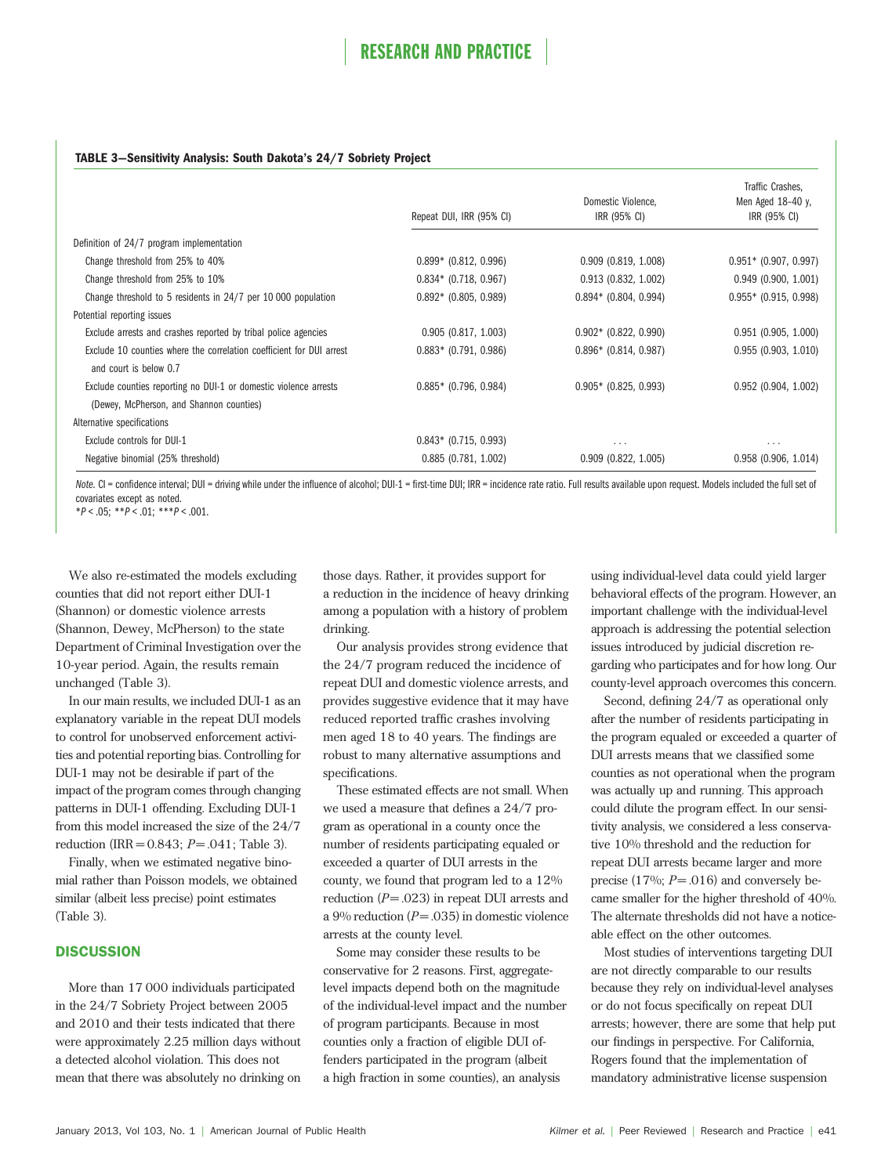#### TABLE 3—Sensitivity Analysis: South Dakota's 24/7 Sobriety Project

|                                                                                                | Repeat DUI, IRR (95% CI) | Domestic Violence,<br>IRR (95% CI) | Traffic Crashes.<br>Men Aged 18-40 y.<br>IRR (95% CI) |
|------------------------------------------------------------------------------------------------|--------------------------|------------------------------------|-------------------------------------------------------|
| Definition of 24/7 program implementation                                                      |                          |                                    |                                                       |
| Change threshold from 25% to 40%                                                               | $0.899*$ (0.812, 0.996)  | $0.909$ $(0.819, 1.008)$           | $0.951*$ (0.907, 0.997)                               |
| Change threshold from 25% to 10%                                                               | $0.834*$ (0.718, 0.967)  | $0.913$ (0.832, 1.002)             | 0.949(0.900, 1.001)                                   |
| Change threshold to 5 residents in 24/7 per 10 000 population                                  | $0.892*$ (0.805, 0.989)  | $0.894*$ (0.804, 0.994)            | $0.955*$ (0.915, 0.998)                               |
| Potential reporting issues                                                                     |                          |                                    |                                                       |
| Exclude arrests and crashes reported by tribal police agencies                                 | 0.905(0.817, 1.003)      | $0.902*$ (0.822, 0.990)            | $0.951$ (0.905, 1.000)                                |
| Exclude 10 counties where the correlation coefficient for DUI arrest<br>and court is below 0.7 | $0.883*$ (0.791, 0.986)  | $0.896*$ (0.814, 0.987)            | 0.955(0.903, 1.010)                                   |
| Exclude counties reporting no DUI-1 or domestic violence arrests                               | $0.885*$ (0.796, 0.984)  | $0.905*$ (0.825, 0.993)            | $0.952$ (0.904, 1.002)                                |
| (Dewey, McPherson, and Shannon counties)                                                       |                          |                                    |                                                       |
| Alternative specifications                                                                     |                          |                                    |                                                       |
| Exclude controls for DUI-1                                                                     | $0.843*$ (0.715, 0.993)  | $\cdots$                           | $\cdots$                                              |
| Negative binomial (25% threshold)                                                              | 0.885(0.781, 1.002)      | $0.909$ (0.822, 1.005)             | 0.958(0.906, 1.014)                                   |

Note. CI = confidence interval; DUI = driving while under the influence of alcohol; DUI-1 = first-time DUI; IRR = incidence rate ratio. Full results available upon request. Models included the full set of covariates except as noted.

 $*P < .05;$   $*P < .01;$   $**P < .001$ 

We also re-estimated the models excluding counties that did not report either DUI-1 (Shannon) or domestic violence arrests (Shannon, Dewey, McPherson) to the state Department of Criminal Investigation over the 10-year period. Again, the results remain unchanged (Table 3).

In our main results, we included DUI-1 as an explanatory variable in the repeat DUI models to control for unobserved enforcement activities and potential reporting bias. Controlling for DUI-1 may not be desirable if part of the impact of the program comes through changing patterns in DUI-1 offending. Excluding DUI-1 from this model increased the size of the 24/7 reduction (IRR =  $0.843$ ;  $P = .041$ ; Table 3).

Finally, when we estimated negative binomial rather than Poisson models, we obtained similar (albeit less precise) point estimates (Table 3).

#### **DISCUSSION**

More than 17 000 individuals participated in the 24/7 Sobriety Project between 2005 and 2010 and their tests indicated that there were approximately 2.25 million days without a detected alcohol violation. This does not mean that there was absolutely no drinking on

those days. Rather, it provides support for a reduction in the incidence of heavy drinking among a population with a history of problem drinking.

Our analysis provides strong evidence that the 24/7 program reduced the incidence of repeat DUI and domestic violence arrests, and provides suggestive evidence that it may have reduced reported traffic crashes involving men aged 18 to 40 years. The findings are robust to many alternative assumptions and specifications.

These estimated effects are not small. When we used a measure that defines a 24/7 program as operational in a county once the number of residents participating equaled or exceeded a quarter of DUI arrests in the county, we found that program led to a 12% reduction  $(P = .023)$  in repeat DUI arrests and a 9% reduction  $(P = .035)$  in domestic violence arrests at the county level.

Some may consider these results to be conservative for 2 reasons. First, aggregatelevel impacts depend both on the magnitude of the individual-level impact and the number of program participants. Because in most counties only a fraction of eligible DUI offenders participated in the program (albeit a high fraction in some counties), an analysis

using individual-level data could yield larger behavioral effects of the program. However, an important challenge with the individual-level approach is addressing the potential selection issues introduced by judicial discretion regarding who participates and for how long. Our county-level approach overcomes this concern.

Second, defining 24/7 as operational only after the number of residents participating in the program equaled or exceeded a quarter of DUI arrests means that we classified some counties as not operational when the program was actually up and running. This approach could dilute the program effect. In our sensitivity analysis, we considered a less conservative 10% threshold and the reduction for repeat DUI arrests became larger and more precise (17%;  $P = .016$ ) and conversely became smaller for the higher threshold of 40%. The alternate thresholds did not have a noticeable effect on the other outcomes.

Most studies of interventions targeting DUI are not directly comparable to our results because they rely on individual-level analyses or do not focus specifically on repeat DUI arrests; however, there are some that help put our findings in perspective. For California, Rogers found that the implementation of mandatory administrative license suspension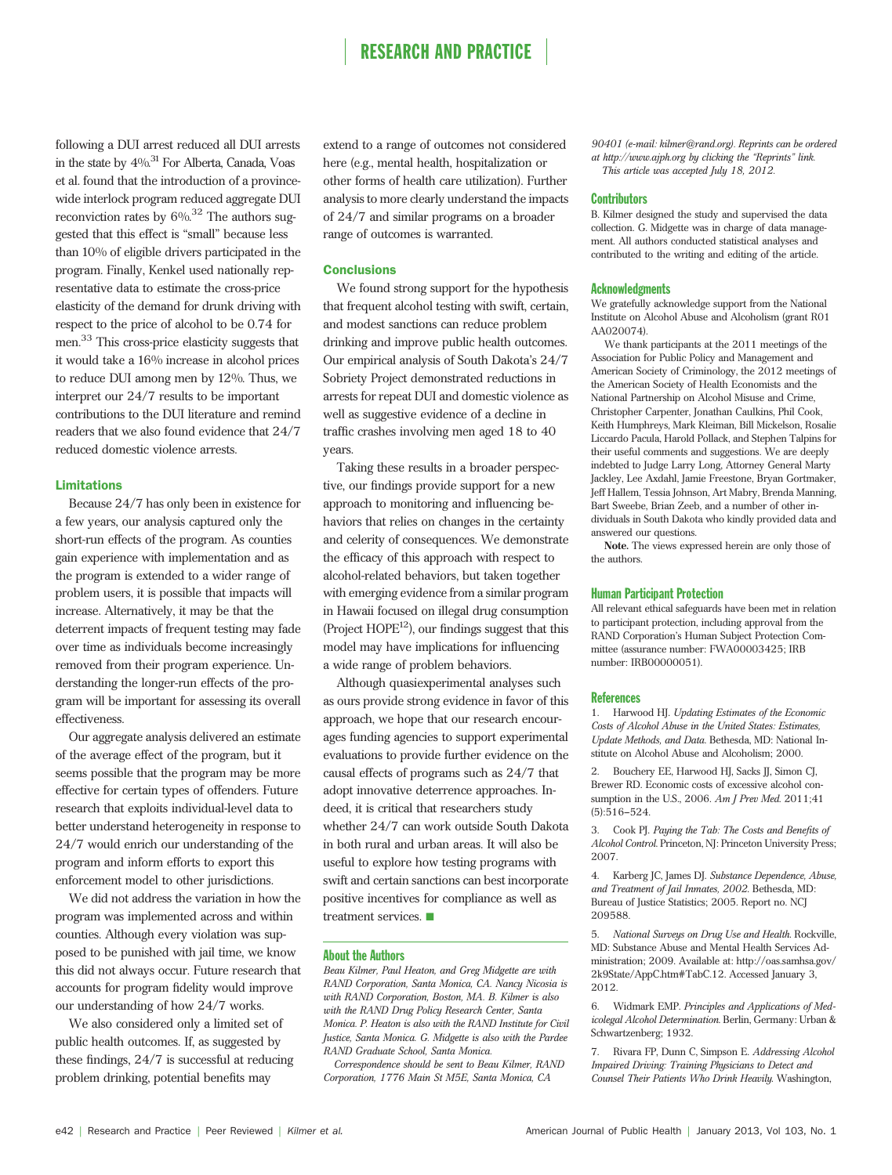following a DUI arrest reduced all DUI arrests in the state by  $4\%$ .<sup>31</sup> For Alberta, Canada, Voas et al. found that the introduction of a provincewide interlock program reduced aggregate DUI reconviction rates by  $6\%$ <sup>32</sup> The authors suggested that this effect is "small" because less than 10% of eligible drivers participated in the program. Finally, Kenkel used nationally representative data to estimate the cross-price elasticity of the demand for drunk driving with respect to the price of alcohol to be 0.74 for men.<sup>33</sup> This cross-price elasticity suggests that it would take a 16% increase in alcohol prices to reduce DUI among men by 12%. Thus, we interpret our 24/7 results to be important contributions to the DUI literature and remind readers that we also found evidence that 24/7 reduced domestic violence arrests.

#### Limitations

Because 24/7 has only been in existence for a few years, our analysis captured only the short-run effects of the program. As counties gain experience with implementation and as the program is extended to a wider range of problem users, it is possible that impacts will increase. Alternatively, it may be that the deterrent impacts of frequent testing may fade over time as individuals become increasingly removed from their program experience. Understanding the longer-run effects of the program will be important for assessing its overall effectiveness.

Our aggregate analysis delivered an estimate of the average effect of the program, but it seems possible that the program may be more effective for certain types of offenders. Future research that exploits individual-level data to better understand heterogeneity in response to 24/7 would enrich our understanding of the program and inform efforts to export this enforcement model to other jurisdictions.

We did not address the variation in how the program was implemented across and within counties. Although every violation was supposed to be punished with jail time, we know this did not always occur. Future research that accounts for program fidelity would improve our understanding of how 24/7 works.

We also considered only a limited set of public health outcomes. If, as suggested by these findings, 24/7 is successful at reducing problem drinking, potential benefits may

extend to a range of outcomes not considered here (e.g., mental health, hospitalization or other forms of health care utilization). Further analysis to more clearly understand the impacts of 24/7 and similar programs on a broader range of outcomes is warranted.

#### **Conclusions**

We found strong support for the hypothesis that frequent alcohol testing with swift, certain, and modest sanctions can reduce problem drinking and improve public health outcomes. Our empirical analysis of South Dakota's 24/7 Sobriety Project demonstrated reductions in arrests for repeat DUI and domestic violence as well as suggestive evidence of a decline in traffic crashes involving men aged 18 to 40 years.

Taking these results in a broader perspective, our findings provide support for a new approach to monitoring and influencing behaviors that relies on changes in the certainty and celerity of consequences. We demonstrate the efficacy of this approach with respect to alcohol-related behaviors, but taken together with emerging evidence from a similar program in Hawaii focused on illegal drug consumption (Project  $HOPE^{12}$ ), our findings suggest that this model may have implications for influencing a wide range of problem behaviors.

Although quasiexperimental analyses such as ours provide strong evidence in favor of this approach, we hope that our research encourages funding agencies to support experimental evaluations to provide further evidence on the causal effects of programs such as 24/7 that adopt innovative deterrence approaches. Indeed, it is critical that researchers study whether 24/7 can work outside South Dakota in both rural and urban areas. It will also be useful to explore how testing programs with swift and certain sanctions can best incorporate positive incentives for compliance as well as treatment services.  $\blacksquare$ 

#### About the Authors

Beau Kilmer, Paul Heaton, and Greg Midgette are with RAND Corporation, Santa Monica, CA. Nancy Nicosia is with RAND Corporation, Boston, MA. B. Kilmer is also with the RAND Drug Policy Research Center, Santa Monica. P. Heaton is also with the RAND Institute for Civil Justice, Santa Monica. G. Midgette is also with the Pardee RAND Graduate School, Santa Monica.

Correspondence should be sent to Beau Kilmer, RAND Corporation, 1776 Main St M5E, Santa Monica, CA

90401 (e-mail: [kilmer@rand.org](mailto:kilmer@rand.org)). Reprints can be ordered at http://www.ajph.org by clicking the "Reprints" link. This article was accepted July 18, 2012.

#### **Contributors**

B. Kilmer designed the study and supervised the data collection. G. Midgette was in charge of data management. All authors conducted statistical analyses and contributed to the writing and editing of the article.

#### **Acknowledgments**

We gratefully acknowledge support from the National Institute on Alcohol Abuse and Alcoholism (grant R01 AA020074).

We thank participants at the 2011 meetings of the Association for Public Policy and Management and American Society of Criminology, the 2012 meetings of the American Society of Health Economists and the National Partnership on Alcohol Misuse and Crime, Christopher Carpenter, Jonathan Caulkins, Phil Cook, Keith Humphreys, Mark Kleiman, Bill Mickelson, Rosalie Liccardo Pacula, Harold Pollack, and Stephen Talpins for their useful comments and suggestions. We are deeply indebted to Judge Larry Long, Attorney General Marty Jackley, Lee Axdahl, Jamie Freestone, Bryan Gortmaker, Jeff Hallem, Tessia Johnson, Art Mabry, Brenda Manning, Bart Sweebe, Brian Zeeb, and a number of other individuals in South Dakota who kindly provided data and answered our questions.

Note. The views expressed herein are only those of the authors.

#### Human Participant Protection

All relevant ethical safeguards have been met in relation to participant protection, including approval from the RAND Corporation's Human Subject Protection Committee (assurance number: FWA00003425; IRB number: IRB00000051).

#### **References**

1. Harwood HJ. Updating Estimates of the Economic Costs of Alcohol Abuse in the United States: Estimates, Update Methods, and Data. Bethesda, MD: National Institute on Alcohol Abuse and Alcoholism; 2000.

2. Bouchery EE, Harwood HJ, Sacks JJ, Simon CJ, Brewer RD. Economic costs of excessive alcohol consumption in the U.S., 2006. Am J Prev Med. 2011;41  $(5):516-524.$ 

3. Cook PJ. Paying the Tab: The Costs and Benefits of Alcohol Control. Princeton, NJ: Princeton University Press; 2007.

4. Karberg JC, James DJ. Substance Dependence, Abuse, and Treatment of Jail Inmates, 2002. Bethesda, MD: Bureau of Justice Statistics; 2005. Report no. NCJ 209588.

5. National Surveys on Drug Use and Health. Rockville, MD: Substance Abuse and Mental Health Services Administration; 2009. Available at: [http://oas.samhsa.gov/](http://oas.samhsa.gov/2k9State/AppC.htm#TabC.12) [2k9State/AppC.htm#TabC.12](http://oas.samhsa.gov/2k9State/AppC.htm#TabC.12). Accessed January 3, 2012.

6. Widmark EMP. Principles and Applications of Medicolegal Alcohol Determination. Berlin, Germany: Urban & Schwartzenberg; 1932.

7. Rivara FP, Dunn C, Simpson E. Addressing Alcohol Impaired Driving: Training Physicians to Detect and Counsel Their Patients Who Drink Heavily. Washington,